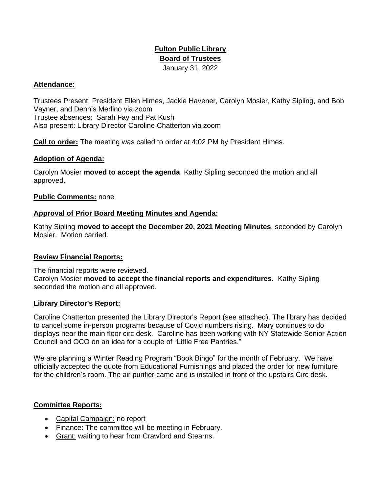# **Fulton Public Library Board of Trustees**  January 31, 2022

### **Attendance:**

Trustees Present: President Ellen Himes, Jackie Havener, Carolyn Mosier, Kathy Sipling, and Bob Vayner, and Dennis Merlino via zoom Trustee absences: Sarah Fay and Pat Kush Also present: Library Director Caroline Chatterton via zoom

**Call to order:** The meeting was called to order at 4:02 PM by President Himes.

### **Adoption of Agenda:**

Carolyn Mosier **moved to accept the agenda**, Kathy Sipling seconded the motion and all approved.

### **Public Comments:** none

### **Approval of Prior Board Meeting Minutes and Agenda:**

Kathy Sipling **moved to accept the December 20, 2021 Meeting Minutes**, seconded by Carolyn Mosier. Motion carried.

#### **Review Financial Reports:**

The financial reports were reviewed. Carolyn Mosier **moved to accept the financial reports and expenditures.** Kathy Sipling seconded the motion and all approved.

#### **Library Director's Report:**

Caroline Chatterton presented the Library Director's Report (see attached). The library has decided to cancel some in-person programs because of Covid numbers rising. Mary continues to do displays near the main floor circ desk. Caroline has been working with NY Statewide Senior Action Council and OCO on an idea for a couple of "Little Free Pantries."

We are planning a Winter Reading Program "Book Bingo" for the month of February. We have officially accepted the quote from Educational Furnishings and placed the order for new furniture for the children's room. The air purifier came and is installed in front of the upstairs Circ desk.

#### **Committee Reports:**

- Capital Campaign: no report
- Finance: The committee will be meeting in February.
- Grant: waiting to hear from Crawford and Stearns.